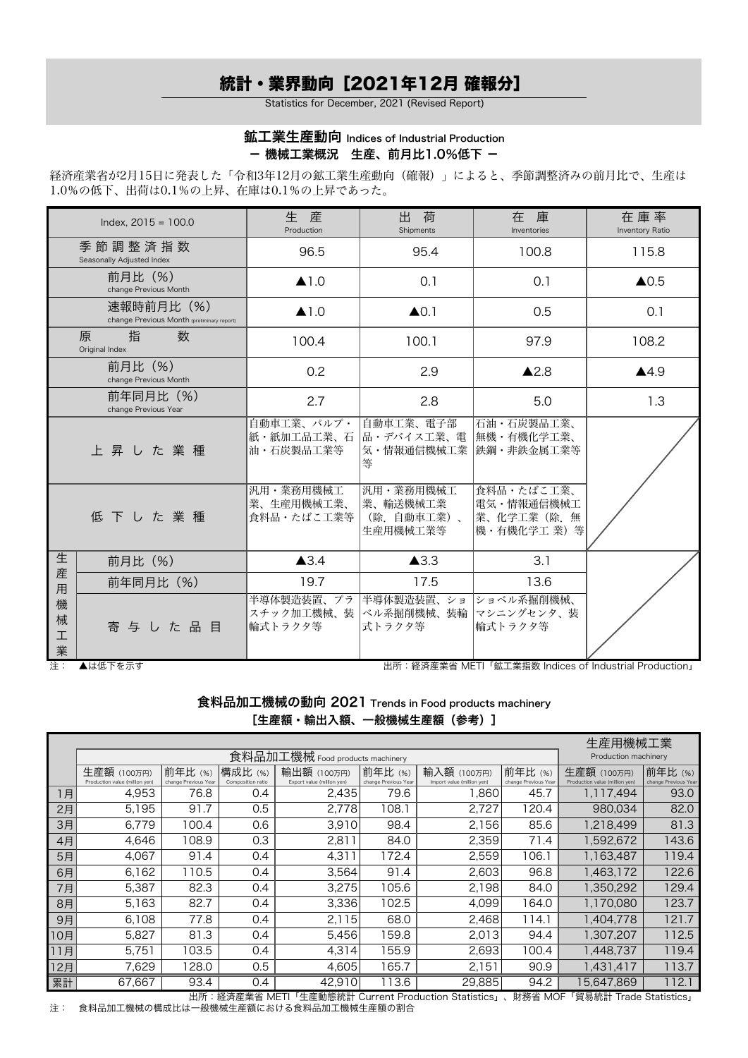# 統計・業界動向[2021年12月 確報分]

Statistics for December, 2021 (Revised Report)

### 鉱工業生産動向 Indices of Industrial Production - 機械工業概況 生産、前月比1.0%低下 -

経済産業省が2月15日に発表した「令和3年12月の鉱工業生産動向(確報)」によると、季節調整済みの前月比で、生産は 1.0%の低下、出荷は0.1%の上昇、在庫は0.1%の上昇であった。

|                  | Index, $2015 = 100.0$                                   | 生産<br>Production                      | 出<br>荷<br>Shipments                             | 在 庫<br>Inventories                                       | 在 庫 率<br>Inventory Ratio |
|------------------|---------------------------------------------------------|---------------------------------------|-------------------------------------------------|----------------------------------------------------------|--------------------------|
|                  | 季節調整済指数<br>Seasonally Adjusted Index                    | 96.5                                  | 95.4                                            | 100.8                                                    | 115.8                    |
|                  | 前月比 (%)<br>change Previous Month                        | $\blacktriangle$ 1.0                  | 0.1                                             | 0.1                                                      | $\triangle$ 0.5          |
|                  | 速報時前月比(%)<br>change Previous Month (preliminary report) | $\triangle$ 1.0                       | $\triangle$ 0.1                                 | 0.5                                                      | 0.1                      |
|                  | 指<br>数<br>原<br>Original Index                           | 100.4                                 | 100.1                                           | 97.9                                                     | 108.2                    |
|                  | 前月比 (%)<br>change Previous Month                        | 0.2                                   | 2.9                                             | $\blacktriangle$ 2.8                                     | $\blacktriangle$ 4.9     |
|                  | 前年同月比 (%)<br>change Previous Year                       | 2.7                                   | 2.8                                             | 5.0                                                      | 1.3                      |
|                  | 上昇した業種                                                  | 自動車工業、パルプ・<br>紙・紙加工品工業、石<br>油・石炭製品工業等 | 自動車工業、電子部<br> 品・デバイス工業、電<br>気・情報通信機械工業<br>等     | 石油・石炭製品工業、<br> 無機・有機化学工業、<br>鉄鋼・非鉄金属工業等                  |                          |
|                  | 低下した業種                                                  | 汎用·業務用機械工<br>業、生産用機械工業、<br>食料品・たばこ工業等 | 汎用・業務用機械工<br>業、輸送機械工業<br>(除.自動車工業)、<br>生産用機械工業等 | 食料品・たばこ工業、<br>電気・情報通信機械工<br> 業、化学工業(除. 無<br> 機・有機化学工 業)等 |                          |
| 生                | 前月比 (%)                                                 | $\triangle 3.4$                       | $\blacktriangle$ 3.3                            | 3.1                                                      |                          |
| 産<br>用           | 前年同月比 (%)                                               | 19.7                                  | 17.5                                            | 13.6                                                     |                          |
| 機<br>械<br>工<br>業 | 寄与した品目                                                  | 半導体製造装置、プラ<br>スチック加工機械、装<br>輪式トラクタ等   | 半導体製造装置、ショ<br>ベル系掘削機械、装輪<br>式トラクタ等              | ショベル系掘削機械、<br>マシニングセンタ、装<br> 輪式トラクタ等                     |                          |

注: ▲は低下を示す 出所:経済産業省 METI「鉱工業指数 Indices of Industrial Production」

食料品加工機械の動向 2021 Trends in Food products machinery [生産額・輸出入額、一般機械生産額 (参考)]

|     |                                               | 生産用機械工業                        |                              |                                           |                                |                                           |                                |                                               |                                |
|-----|-----------------------------------------------|--------------------------------|------------------------------|-------------------------------------------|--------------------------------|-------------------------------------------|--------------------------------|-----------------------------------------------|--------------------------------|
|     |                                               | Production machinery           |                              |                                           |                                |                                           |                                |                                               |                                |
|     | 生産額 (100万円)<br>Production value (million yen) | 前年比(%)<br>change Previous Year | 構成比 (%)<br>Composition ratio | 輸出額 (100万円)<br>Export value (million yen) | 前年比(%)<br>change Previous Year | 輸入額 (100万円)<br>Import value (million yen) | 前年比(%)<br>change Previous Year | 生産額 (100万円)<br>Production value (million yen) | 前年比(%)<br>change Previous Year |
| 1月  | 4,953                                         | 76.8                           | 0.4                          | 2,435                                     | 79.6                           | 068, 1                                    | 45.7                           | 1,117,494                                     | 93.0                           |
| 2月  | 5,195                                         | 91.7                           | 0.5                          | 2.778                                     | 108.1                          | 2,727                                     | 120.4                          | 980,034                                       | 82.0                           |
| 3月  | 6,779                                         | 100.4                          | 0.6                          | 3,910                                     | 98.4                           | 2,156                                     | 85.6                           | 1,218,499                                     | 81.3                           |
| 4月  | 4,646                                         | 108.9                          | 0.3                          | 2,811                                     | 84.0                           | 2,359                                     | 71.4                           | 1,592,672                                     | 143.6                          |
| 5月  | 4,067                                         | 91.4                           | 0.4                          | 4,311                                     | 172.4                          | 2,559                                     | 106.1                          | 1,163,487                                     | 119.4                          |
| 6月  | 6,162                                         | 110.5                          | 0.4                          | 3,564                                     | 91.4                           | 2,603                                     | 96.8                           | 1,463,172                                     | 122.6                          |
| 7月  | 5,387                                         | 82.3                           | 0.4                          | 3,275                                     | 105.6                          | 2,198                                     | 84.0                           | 1,350,292                                     | 129.4                          |
| 8月  | 5,163                                         | 82.7                           | 0.4                          | 3,336                                     | 102.5                          | 4.099                                     | 164.0                          | 1,170,080                                     | 123.7                          |
| 9月  | 6,108                                         | 77.8                           | 0.4                          | 2,115                                     | 68.0                           | 2,468                                     | 114.1                          | 1,404,778                                     | 121.7                          |
| 10月 | 5,827                                         | 81.3                           | 0.4                          | 5,456                                     | 159.8                          | 2,013                                     | 94.4                           | 1,307,207                                     | 112.5                          |
| 1月  | 5,751                                         | 103.5                          | 0.4                          | 4,314                                     | 55.9                           | 2,693                                     | 100.4                          | 1,448,737                                     | 119.4                          |
| 12月 | 7,629                                         | 128.0                          | 0.5                          | 4,605                                     | 165.7                          | 2,151                                     | 90.9                           | 1,431,417                                     | 113.7                          |
| 累計  | 67,667                                        | 93.4                           | 0.4                          | 42,910                                    | 113.6                          | 29,885                                    | 94.2                           | 15.647.869                                    | 112.1                          |

出所:経済産業省 METI「生産動態統計 Current Production Statistics」、財務省 MOF「貿易統計 Trade Statistics」 注: 食料品加工機械の構成比は一般機械生産額における食料品加工機械生産額の割合